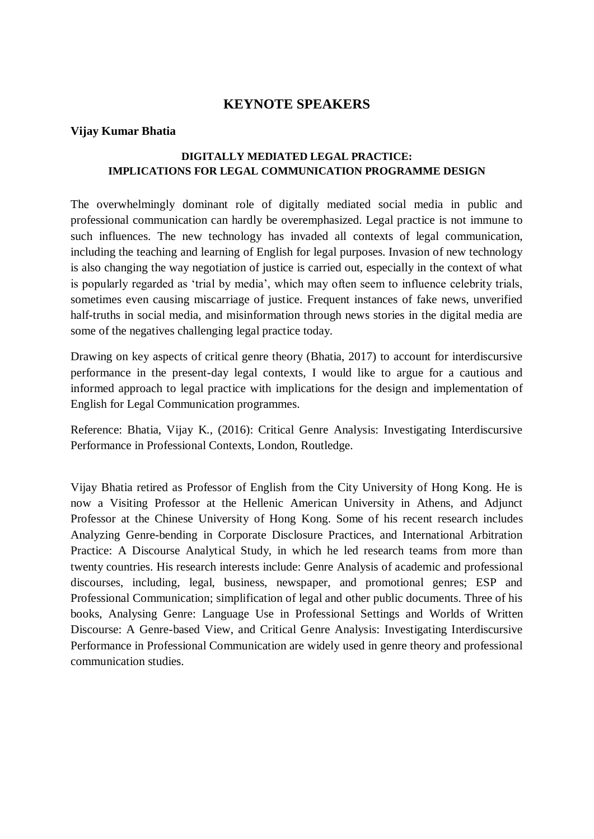# **KEYNOTE SPEAKERS**

## **Vijay Kumar Bhatia**

## **DIGITALLY MEDIATED LEGAL PRACTICE: IMPLICATIONS FOR LEGAL COMMUNICATION PROGRAMME DESIGN**

The overwhelmingly dominant role of digitally mediated social media in public and professional communication can hardly be overemphasized. Legal practice is not immune to such influences. The new technology has invaded all contexts of legal communication, including the teaching and learning of English for legal purposes. Invasion of new technology is also changing the way negotiation of justice is carried out, especially in the context of what is popularly regarded as 'trial by media', which may often seem to influence celebrity trials, sometimes even causing miscarriage of justice. Frequent instances of fake news, unverified half-truths in social media, and misinformation through news stories in the digital media are some of the negatives challenging legal practice today.

Drawing on key aspects of critical genre theory (Bhatia, 2017) to account for interdiscursive performance in the present-day legal contexts, I would like to argue for a cautious and informed approach to legal practice with implications for the design and implementation of English for Legal Communication programmes.

Reference: Bhatia, Vijay K., (2016): Critical Genre Analysis: Investigating Interdiscursive Performance in Professional Contexts, London, Routledge.

Vijay Bhatia retired as Professor of English from the City University of Hong Kong. He is now a Visiting Professor at the Hellenic American University in Athens, and Adjunct Professor at the Chinese University of Hong Kong. Some of his recent research includes Analyzing Genre-bending in Corporate Disclosure Practices, and International Arbitration Practice: A Discourse Analytical Study, in which he led research teams from more than twenty countries. His research interests include: Genre Analysis of academic and professional discourses, including, legal, business, newspaper, and promotional genres; ESP and Professional Communication; simplification of legal and other public documents. Three of his books, Analysing Genre: Language Use in Professional Settings and Worlds of Written Discourse: A Genre-based View, and Critical Genre Analysis: Investigating Interdiscursive Performance in Professional Communication are widely used in genre theory and professional communication studies.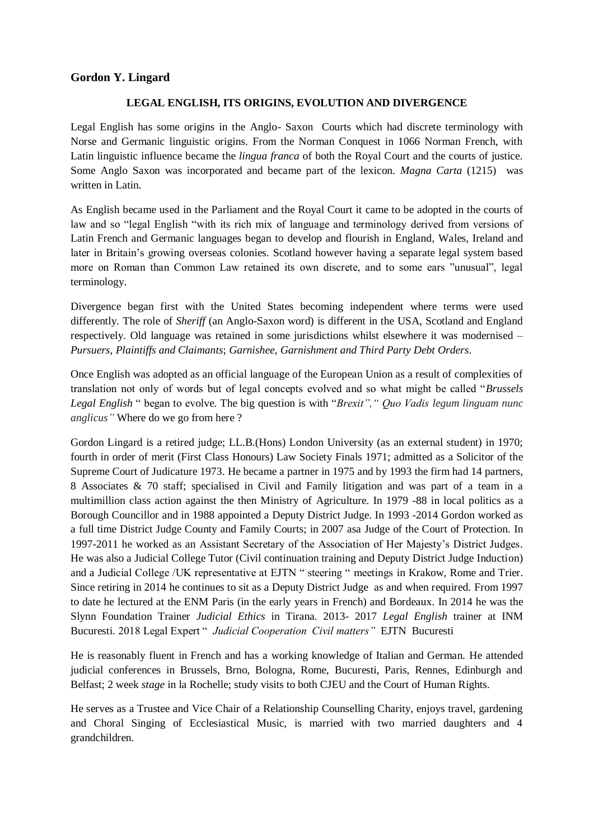## **Gordon Y. Lingard**

#### **LEGAL ENGLISH, ITS ORIGINS, EVOLUTION AND DIVERGENCE**

Legal English has some origins in the Anglo- Saxon Courts which had discrete terminology with Norse and Germanic linguistic origins. From the Norman Conquest in 1066 Norman French, with Latin linguistic influence became the *lingua franca* of both the Royal Court and the courts of justice. Some Anglo Saxon was incorporated and became part of the lexicon. *Magna Carta* (1215) was written in Latin.

As English became used in the Parliament and the Royal Court it came to be adopted in the courts of law and so "legal English "with its rich mix of language and terminology derived from versions of Latin French and Germanic languages began to develop and flourish in England, Wales, Ireland and later in Britain's growing overseas colonies. Scotland however having a separate legal system based more on Roman than Common Law retained its own discrete, and to some ears "unusual", legal terminology.

Divergence began first with the United States becoming independent where terms were used differently. The role of *Sheriff* (an Anglo-Saxon word) is different in the USA, Scotland and England respectively. Old language was retained in some jurisdictions whilst elsewhere it was modernised *– Pursuers, Plaintiffs and Claimants*; *Garnishee, Garnishment and Third Party Debt Orders*.

Once English was adopted as an official language of the European Union as a result of complexities of translation not only of words but of legal concepts evolved and so what might be called "*Brussels Legal English* " began to evolve. The big question is with "*Brexit"," Quo Vadis legum linguam nunc anglicus"* Where do we go from here ?

Gordon Lingard is a retired judge; LL.B.(Hons) London University (as an external student) in 1970; fourth in order of merit (First Class Honours) Law Society Finals 1971; admitted as a Solicitor of the Supreme Court of Judicature 1973. He became a partner in 1975 and by 1993 the firm had 14 partners, 8 Associates & 70 staff; specialised in Civil and Family litigation and was part of a team in a multimillion class action against the then Ministry of Agriculture. In 1979 -88 in local politics as a Borough Councillor and in 1988 appointed a Deputy District Judge. In 1993 -2014 Gordon worked as a full time District Judge County and Family Courts; in 2007 asa Judge of the Court of Protection. In 1997-2011 he worked as an Assistant Secretary of the Association of Her Majesty's District Judges. He was also a Judicial College Tutor (Civil continuation training and Deputy District Judge Induction) and a Judicial College /UK representative at EJTN " steering " meetings in Krakow, Rome and Trier. Since retiring in 2014 he continues to sit as a Deputy District Judge as and when required. From 1997 to date he lectured at the ENM Paris (in the early years in French) and Bordeaux. In 2014 he was the Slynn Foundation Trainer *Judicial Ethics* in Tirana. 2013- 2017 *Legal English* trainer at INM Bucuresti. 2018 Legal Expert " *Judicial Cooperation Civil matters"* EJTN Bucuresti

He is reasonably fluent in French and has a working knowledge of Italian and German. He attended judicial conferences in Brussels, Brno, Bologna, Rome, Bucuresti, Paris, Rennes, Edinburgh and Belfast; 2 week *stage* in la Rochelle; study visits to both CJEU and the Court of Human Rights.

He serves as a Trustee and Vice Chair of a Relationship Counselling Charity, enjoys travel, gardening and Choral Singing of Ecclesiastical Music, is married with two married daughters and 4 grandchildren.